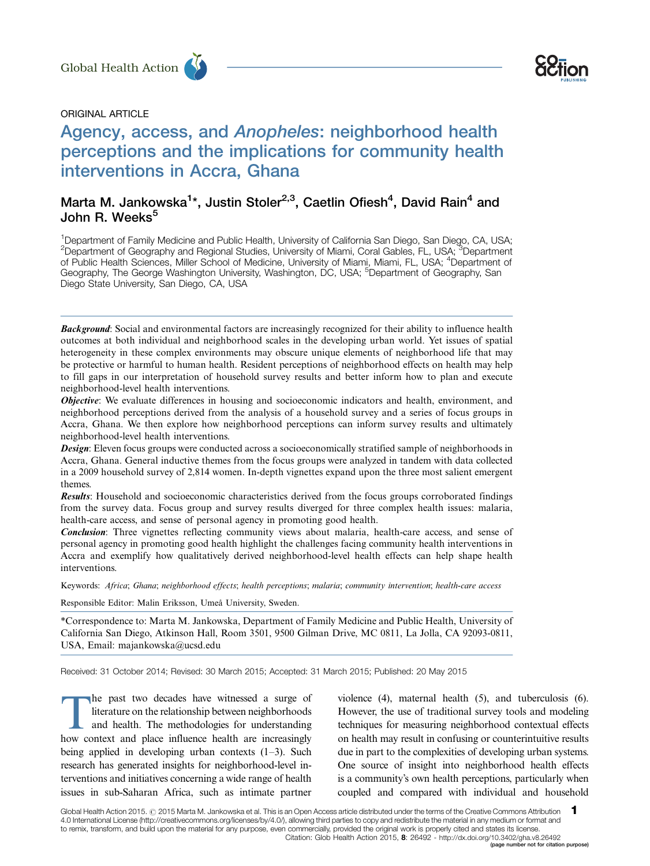





# Agency, access, and Anopheles: neighborhood health perceptions and the implications for community health interventions in Accra, Ghana Global Health Action<br>
ORIGINAL ARTICLE<br>
Agency, access, and Anopheles: neighborhood health

# Marta M. Jankowska<sup>1</sup>\*, Justin Stoler<sup>2,3</sup>, Caetlin Ofiesh<sup>4</sup>, David Rain<sup>4</sup> and John R. Weeks<sup>5</sup>

<sup>1</sup>Department of Family Medicine and Public Health, University of California San Diego, San Diego, CA, USA; <sup>2</sup>Department of Geography and Regional Studies, University of Miami, Coral Gables, FL, USA; <sup>3</sup>Department of Public Health Sciences, Miller School of Medicine, University of Miami, Miami, FL, USA; <sup>4</sup>Department of Geography, The George Washington University, Washington, DC, USA, <sup>5</sup>Department of Geography, San Diego State University, San Diego, CA, USA

Background: Social and environmental factors are increasingly recognized for their ability to influence health outcomes at both individual and neighborhood scales in the developing urban world. Yet issues of spatial heterogeneity in these complex environments may obscure unique elements of neighborhood life that may be protective or harmful to human health. Resident perceptions of neighborhood effects on health may help to fill gaps in our interpretation of household survey results and better inform how to plan and execute neighborhood-level health interventions.

*Objective*: We evaluate differences in housing and socioeconomic indicators and health, environment, and neighborhood perceptions derived from the analysis of a household survey and a series of focus groups in Accra, Ghana. We then explore how neighborhood perceptions can inform survey results and ultimately neighborhood-level health interventions.

**Design:** Eleven focus groups were conducted across a socioeconomically stratified sample of neighborhoods in Accra, Ghana. General inductive themes from the focus groups were analyzed in tandem with data collected in a 2009 household survey of 2,814 women. In-depth vignettes expand upon the three most salient emergent themes.

Results: Household and socioeconomic characteristics derived from the focus groups corroborated findings from the survey data. Focus group and survey results diverged for three complex health issues: malaria, health-care access, and sense of personal agency in promoting good health.

Conclusion: Three vignettes reflecting community views about malaria, health-care access, and sense of personal agency in promoting good health highlight the challenges facing community health interventions in Accra and exemplify how qualitatively derived neighborhood-level health effects can help shape health interventions.

Keywords: Africa; Ghana; neighborhood effects; health perceptions; malaria; community intervention; health-care access

Responsible Editor: Malin Eriksson, Umeå University, Sweden.

\*Correspondence to: Marta M. Jankowska, Department of Family Medicine and Public Health, University of California San Diego, Atkinson Hall, Room 3501, 9500 Gilman Drive, MC 0811, La Jolla, CA 92093-0811, USA, Email: majankowska@ucsd.edu

Received: 31 October 2014; Revised: 30 March 2015; Accepted: 31 March 2015; Published: 20 May 2015

The past two decades have witnessed a surge of<br>
literature on the relationship between neighborhoods<br>
and health. The methodologies for understanding<br>
how context and place influence health are increasingly literature on the relationship between neighborhoods how context and place influence health are increasingly being applied in developing urban contexts (1–3). Such research has generated insights for neighborhood-level interventions and initiatives concerning a wide range of health issues in sub-Saharan Africa, such as intimate partner

violence (4), maternal health (5), and tuberculosis (6). However, the use of traditional survey tools and modeling techniques for measuring neighborhood contextual effects on health may result in confusing or counterintuitive results due in part to the complexities of developing urban systems. One source of insight into neighborhood health effects is a community's own health perceptions, particularly when coupled and compared with individual and household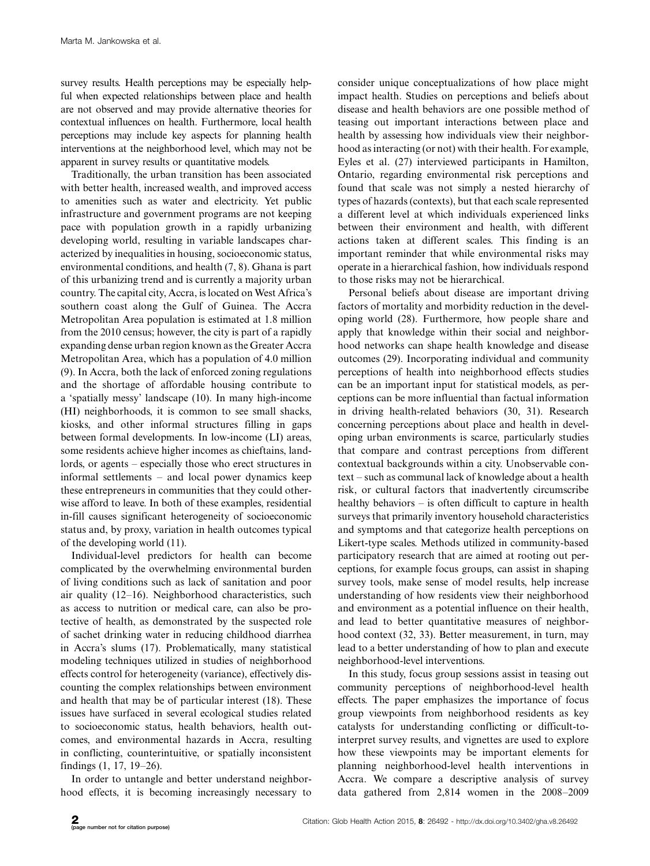survey results. Health perceptions may be especially helpful when expected relationships between place and health are not observed and may provide alternative theories for contextual influences on health. Furthermore, local health perceptions may include key aspects for planning health interventions at the neighborhood level, which may not be apparent in survey results or quantitative models.

Traditionally, the urban transition has been associated with better health, increased wealth, and improved access to amenities such as water and electricity. Yet public infrastructure and government programs are not keeping pace with population growth in a rapidly urbanizing developing world, resulting in variable landscapes characterized by inequalities in housing, socioeconomic status, environmental conditions, and health (7, 8). Ghana is part of this urbanizing trend and is currently a majority urban country. The capital city, Accra, is located on West Africa's southern coast along the Gulf of Guinea. The Accra Metropolitan Area population is estimated at 1.8 million from the 2010 census; however, the city is part of a rapidly expanding dense urban region known as the Greater Accra Metropolitan Area, which has a population of 4.0 million (9). In Accra, both the lack of enforced zoning regulations and the shortage of affordable housing contribute to a 'spatially messy' landscape (10). In many high-income (HI) neighborhoods, it is common to see small shacks, kiosks, and other informal structures filling in gaps between formal developments. In low-income (LI) areas, some residents achieve higher incomes as chieftains, landlords, or agents - especially those who erect structures in informal settlements - and local power dynamics keep these entrepreneurs in communities that they could otherwise afford to leave. In both of these examples, residential in-fill causes significant heterogeneity of socioeconomic status and, by proxy, variation in health outcomes typical of the developing world (11).

Individual-level predictors for health can become complicated by the overwhelming environmental burden of living conditions such as lack of sanitation and poor air quality (12-16). Neighborhood characteristics, such as access to nutrition or medical care, can also be protective of health, as demonstrated by the suspected role of sachet drinking water in reducing childhood diarrhea in Accra's slums (17). Problematically, many statistical modeling techniques utilized in studies of neighborhood effects control for heterogeneity (variance), effectively discounting the complex relationships between environment and health that may be of particular interest (18). These issues have surfaced in several ecological studies related to socioeconomic status, health behaviors, health outcomes, and environmental hazards in Accra, resulting in conflicting, counterintuitive, or spatially inconsistent findings (1, 17, 19-26).

In order to untangle and better understand neighborhood effects, it is becoming increasingly necessary to consider unique conceptualizations of how place might impact health. Studies on perceptions and beliefs about disease and health behaviors are one possible method of teasing out important interactions between place and health by assessing how individuals view their neighborhood as interacting (or not) with their health. For example, Eyles et al. (27) interviewed participants in Hamilton, Ontario, regarding environmental risk perceptions and found that scale was not simply a nested hierarchy of types of hazards (contexts), but that each scale represented a different level at which individuals experienced links between their environment and health, with different actions taken at different scales. This finding is an important reminder that while environmental risks may operate in a hierarchical fashion, how individuals respond to those risks may not be hierarchical.

Personal beliefs about disease are important driving factors of mortality and morbidity reduction in the developing world (28). Furthermore, how people share and apply that knowledge within their social and neighborhood networks can shape health knowledge and disease outcomes (29). Incorporating individual and community perceptions of health into neighborhood effects studies can be an important input for statistical models, as perceptions can be more influential than factual information in driving health-related behaviors (30, 31). Research concerning perceptions about place and health in developing urban environments is scarce, particularly studies that compare and contrast perceptions from different contextual backgrounds within a city. Unobservable context - such as communal lack of knowledge about a health risk, or cultural factors that inadvertently circumscribe healthy behaviors – is often difficult to capture in health surveys that primarily inventory household characteristics and symptoms and that categorize health perceptions on Likert-type scales. Methods utilized in community-based participatory research that are aimed at rooting out perceptions, for example focus groups, can assist in shaping survey tools, make sense of model results, help increase understanding of how residents view their neighborhood and environment as a potential influence on their health, and lead to better quantitative measures of neighborhood context (32, 33). Better measurement, in turn, may lead to a better understanding of how to plan and execute neighborhood-level interventions.

In this study, focus group sessions assist in teasing out community perceptions of neighborhood-level health effects. The paper emphasizes the importance of focus group viewpoints from neighborhood residents as key catalysts for understanding conflicting or difficult-tointerpret survey results, and vignettes are used to explore how these viewpoints may be important elements for planning neighborhood-level health interventions in Accra. We compare a descriptive analysis of survey data gathered from 2,814 women in the 2008-2009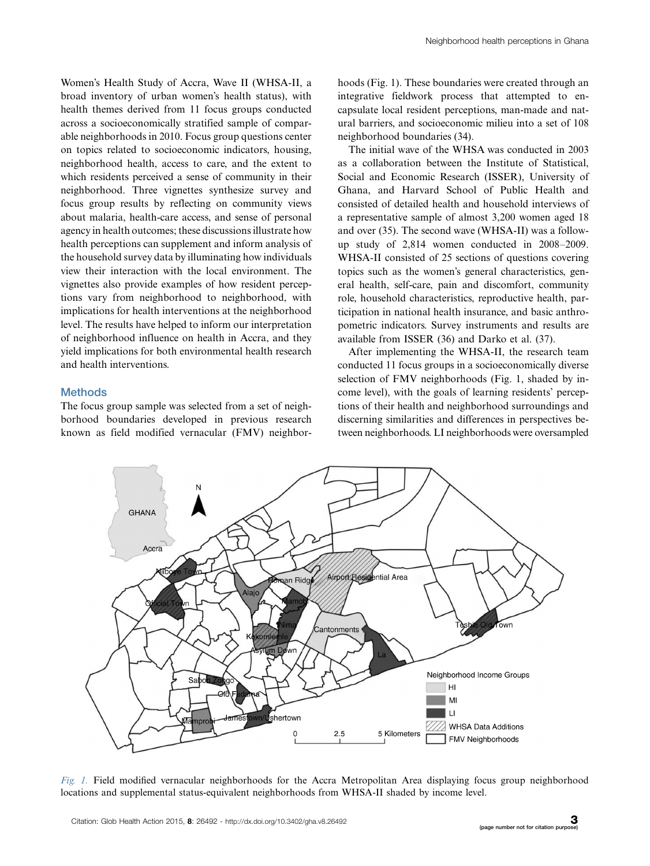Women's Health Study of Accra, Wave II (WHSA-II, a broad inventory of urban women's health status), with health themes derived from 11 focus groups conducted across a socioeconomically stratified sample of comparable neighborhoods in 2010. Focus group questions center on topics related to socioeconomic indicators, housing, neighborhood health, access to care, and the extent to which residents perceived a sense of community in their neighborhood. Three vignettes synthesize survey and focus group results by reflecting on community views about malaria, health-care access, and sense of personal agency in health outcomes; these discussions illustrate how health perceptions can supplement and inform analysis of the household survey data by illuminating how individuals view their interaction with the local environment. The vignettes also provide examples of how resident perceptions vary from neighborhood to neighborhood, with implications for health interventions at the neighborhood level. The results have helped to inform our interpretation of neighborhood influence on health in Accra, and they yield implications for both environmental health research and health interventions.

#### **Methods**

The focus group sample was selected from a set of neighborhood boundaries developed in previous research known as field modified vernacular (FMV) neighborhoods (Fig. 1). These boundaries were created through an integrative fieldwork process that attempted to encapsulate local resident perceptions, man-made and natural barriers, and socioeconomic milieu into a set of 108 neighborhood boundaries (34).

The initial wave of the WHSA was conducted in 2003 as a collaboration between the Institute of Statistical, Social and Economic Research (ISSER), University of Ghana, and Harvard School of Public Health and consisted of detailed health and household interviews of a representative sample of almost 3,200 women aged 18 and over (35). The second wave (WHSA-II) was a followup study of 2,814 women conducted in 2008-2009. WHSA-II consisted of 25 sections of questions covering topics such as the women's general characteristics, general health, self-care, pain and discomfort, community role, household characteristics, reproductive health, participation in national health insurance, and basic anthropometric indicators. Survey instruments and results are available from ISSER (36) and Darko et al. (37).

After implementing the WHSA-II, the research team conducted 11 focus groups in a socioeconomically diverse selection of FMV neighborhoods (Fig. 1, shaded by income level), with the goals of learning residents' perceptions of their health and neighborhood surroundings and discerning similarities and differences in perspectives between neighborhoods. LI neighborhoods were oversampled



Fig. 1. Field modified vernacular neighborhoods for the Accra Metropolitan Area displaying focus group neighborhood locations and supplemental status-equivalent neighborhoods from WHSA-II shaded by income level.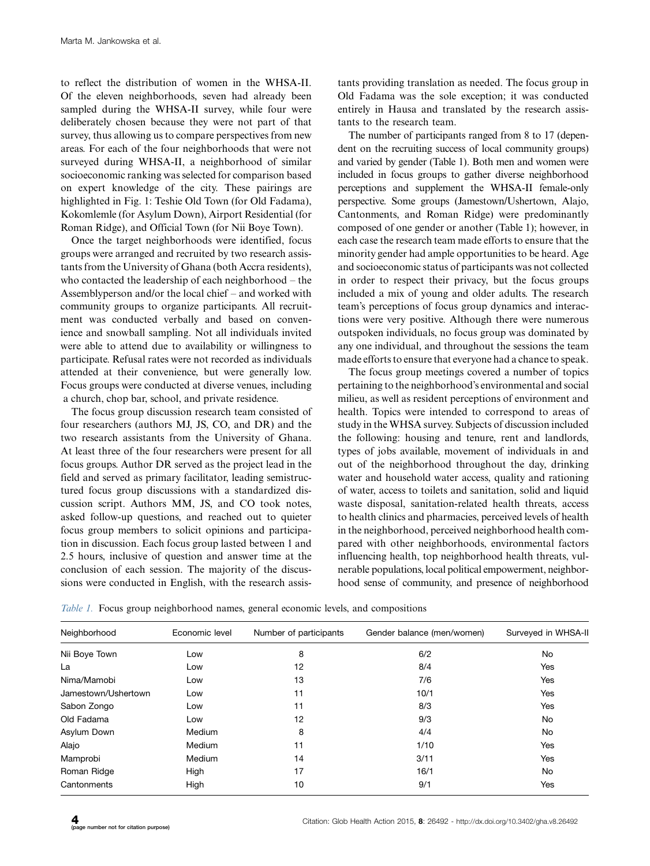to reflect the distribution of women in the WHSA-II. Of the eleven neighborhoods, seven had already been sampled during the WHSA-II survey, while four were deliberately chosen because they were not part of that survey, thus allowing us to compare perspectives from new areas. For each of the four neighborhoods that were not surveyed during WHSA-II, a neighborhood of similar socioeconomic ranking was selected for comparison based on expert knowledge of the city. These pairings are highlighted in Fig. 1: Teshie Old Town (for Old Fadama), Kokomlemle (for Asylum Down), Airport Residential (for Roman Ridge), and Official Town (for Nii Boye Town).

Once the target neighborhoods were identified, focus groups were arranged and recruited by two research assistants from the University of Ghana (both Accra residents), who contacted the leadership of each neighborhood – the Assemblyperson and/or the local chief – and worked with community groups to organize participants. All recruitment was conducted verbally and based on convenience and snowball sampling. Not all individuals invited were able to attend due to availability or willingness to participate. Refusal rates were not recorded as individuals attended at their convenience, but were generally low. Focus groups were conducted at diverse venues, including a church, chop bar, school, and private residence.

The focus group discussion research team consisted of four researchers (authors MJ, JS, CO, and DR) and the two research assistants from the University of Ghana. At least three of the four researchers were present for all focus groups. Author DR served as the project lead in the field and served as primary facilitator, leading semistructured focus group discussions with a standardized discussion script. Authors MM, JS, and CO took notes, asked follow-up questions, and reached out to quieter focus group members to solicit opinions and participation in discussion. Each focus group lasted between 1 and 2.5 hours, inclusive of question and answer time at the conclusion of each session. The majority of the discussions were conducted in English, with the research assistants providing translation as needed. The focus group in Old Fadama was the sole exception; it was conducted entirely in Hausa and translated by the research assistants to the research team.

The number of participants ranged from 8 to 17 (dependent on the recruiting success of local community groups) and varied by gender (Table 1). Both men and women were included in focus groups to gather diverse neighborhood perceptions and supplement the WHSA-II female-only perspective. Some groups (Jamestown/Ushertown, Alajo, Cantonments, and Roman Ridge) were predominantly composed of one gender or another (Table 1); however, in each case the research team made efforts to ensure that the minority gender had ample opportunities to be heard. Age and socioeconomic status of participants was not collected in order to respect their privacy, but the focus groups included a mix of young and older adults. The research team's perceptions of focus group dynamics and interactions were very positive. Although there were numerous outspoken individuals, no focus group was dominated by any one individual, and throughout the sessions the team made efforts to ensure that everyone had a chance to speak.

The focus group meetings covered a number of topics pertaining to the neighborhood's environmental and social milieu, as well as resident perceptions of environment and health. Topics were intended to correspond to areas of study in the WHSA survey. Subjects of discussion included the following: housing and tenure, rent and landlords, types of jobs available, movement of individuals in and out of the neighborhood throughout the day, drinking water and household water access, quality and rationing of water, access to toilets and sanitation, solid and liquid waste disposal, sanitation-related health threats, access to health clinics and pharmacies, perceived levels of health in the neighborhood, perceived neighborhood health compared with other neighborhoods, environmental factors influencing health, top neighborhood health threats, vulnerable populations, local political empowerment, neighborhood sense of community, and presence of neighborhood

|  | Table 1. Focus group neighborhood names, general economic levels, and compositions |  |  |  |  |
|--|------------------------------------------------------------------------------------|--|--|--|--|
|  |                                                                                    |  |  |  |  |

| Neighborhood        | Economic level | Number of participants | Gender balance (men/women) | Surveyed in WHSA-II |
|---------------------|----------------|------------------------|----------------------------|---------------------|
| Nii Boye Town       | Low            | 8                      | 6/2                        | No                  |
| La                  | Low            | 12                     | 8/4                        | Yes                 |
| Nima/Mamobi         | Low            | 13                     | 7/6                        | Yes                 |
| Jamestown/Ushertown | Low            | 11                     | 10/1                       | Yes                 |
| Sabon Zongo         | Low            | 11                     | 8/3                        | Yes                 |
| Old Fadama          | Low            | 12                     | 9/3                        | No                  |
| Asylum Down         | Medium         | 8                      | 4/4                        | No                  |
| Alajo               | Medium         | 11                     | 1/10                       | Yes                 |
| Mamprobi            | Medium         | 14                     | 3/11                       | Yes                 |
| Roman Ridge         | High           | 17                     | 16/1                       | No                  |
| Cantonments         | High           | 10                     | 9/1                        | Yes                 |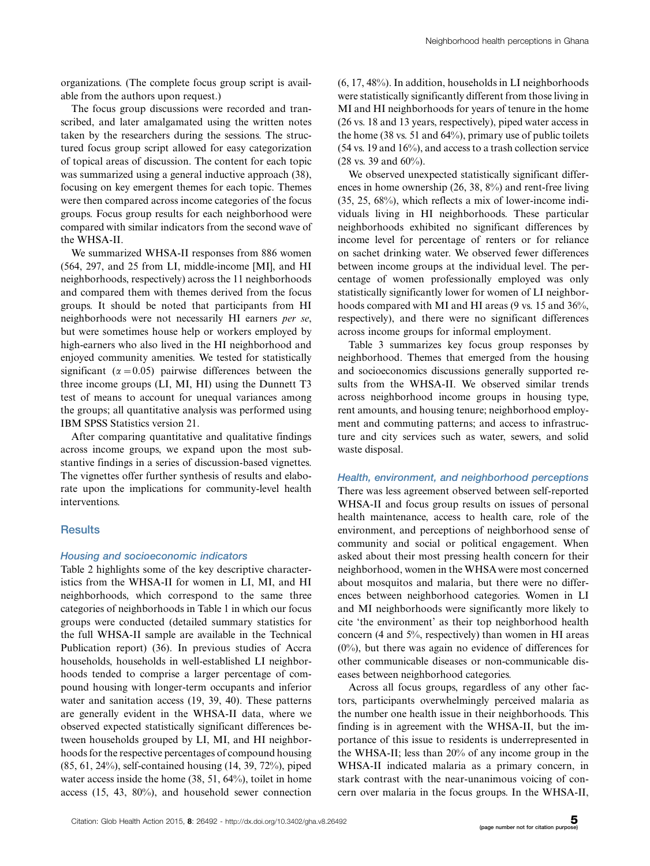organizations. (The complete focus group script is available from the authors upon request.)

The focus group discussions were recorded and transcribed, and later amalgamated using the written notes taken by the researchers during the sessions. The structured focus group script allowed for easy categorization of topical areas of discussion. The content for each topic was summarized using a general inductive approach (38), focusing on key emergent themes for each topic. Themes were then compared across income categories of the focus groups. Focus group results for each neighborhood were compared with similar indicators from the second wave of the WHSA-II.

We summarized WHSA-II responses from 886 women (564, 297, and 25 from LI, middle-income [MI], and HI neighborhoods, respectively) across the 11 neighborhoods and compared them with themes derived from the focus groups. It should be noted that participants from HI neighborhoods were not necessarily HI earners per se, but were sometimes house help or workers employed by high-earners who also lived in the HI neighborhood and enjoyed community amenities. We tested for statistically significant ( $\alpha$  = 0.05) pairwise differences between the three income groups (LI, MI, HI) using the Dunnett T3 test of means to account for unequal variances among the groups; all quantitative analysis was performed using IBM SPSS Statistics version 21.

After comparing quantitative and qualitative findings across income groups, we expand upon the most substantive findings in a series of discussion-based vignettes. The vignettes offer further synthesis of results and elaborate upon the implications for community-level health interventions.

# **Results**

#### Housing and socioeconomic indicators

Table 2 highlights some of the key descriptive characteristics from the WHSA-II for women in LI, MI, and HI neighborhoods, which correspond to the same three categories of neighborhoods in Table 1 in which our focus groups were conducted (detailed summary statistics for the full WHSA-II sample are available in the Technical Publication report) (36). In previous studies of Accra households, households in well-established LI neighborhoods tended to comprise a larger percentage of compound housing with longer-term occupants and inferior water and sanitation access (19, 39, 40). These patterns are generally evident in the WHSA-II data, where we observed expected statistically significant differences between households grouped by LI, MI, and HI neighborhoods for the respective percentages of compound housing (85, 61, 24%), self-contained housing (14, 39, 72%), piped water access inside the home (38, 51, 64%), toilet in home access (15, 43, 80%), and household sewer connection

(6, 17, 48%). In addition, households in LI neighborhoods were statistically significantly different from those living in MI and HI neighborhoods for years of tenure in the home (26 vs. 18 and 13 years, respectively), piped water access in the home (38 vs. 51 and 64%), primary use of public toilets (54 vs. 19 and 16%), and access to a trash collection service (28 vs. 39 and 60%).

We observed unexpected statistically significant differences in home ownership (26, 38, 8%) and rent-free living (35, 25, 68%), which reflects a mix of lower-income individuals living in HI neighborhoods. These particular neighborhoods exhibited no significant differences by income level for percentage of renters or for reliance on sachet drinking water. We observed fewer differences between income groups at the individual level. The percentage of women professionally employed was only statistically significantly lower for women of LI neighborhoods compared with MI and HI areas (9 vs. 15 and 36%, respectively), and there were no significant differences across income groups for informal employment.

Table 3 summarizes key focus group responses by neighborhood. Themes that emerged from the housing and socioeconomics discussions generally supported results from the WHSA-II. We observed similar trends across neighborhood income groups in housing type, rent amounts, and housing tenure; neighborhood employment and commuting patterns; and access to infrastructure and city services such as water, sewers, and solid waste disposal.

Health, environment, and neighborhood perceptions There was less agreement observed between self-reported WHSA-II and focus group results on issues of personal health maintenance, access to health care, role of the environment, and perceptions of neighborhood sense of community and social or political engagement. When asked about their most pressing health concern for their neighborhood, women in the WHSAwere most concerned about mosquitos and malaria, but there were no differences between neighborhood categories. Women in LI and MI neighborhoods were significantly more likely to cite 'the environment' as their top neighborhood health concern (4 and 5%, respectively) than women in HI areas  $(0\%)$ , but there was again no evidence of differences for other communicable diseases or non-communicable diseases between neighborhood categories.

Across all focus groups, regardless of any other factors, participants overwhelmingly perceived malaria as the number one health issue in their neighborhoods. This finding is in agreement with the WHSA-II, but the importance of this issue to residents is underrepresented in the WHSA-II; less than 20% of any income group in the WHSA-II indicated malaria as a primary concern, in stark contrast with the near-unanimous voicing of concern over malaria in the focus groups. In the WHSA-II,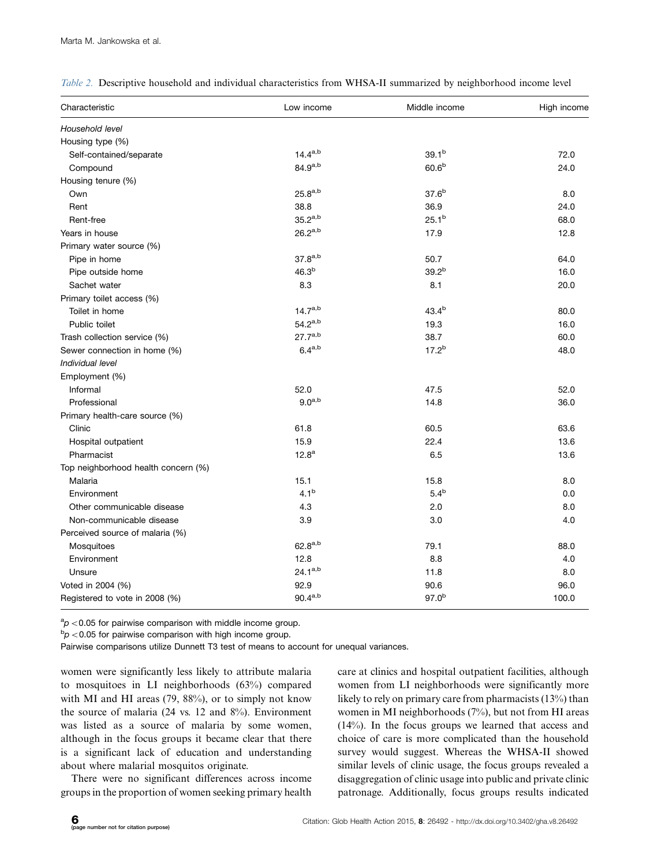| Characteristic                      | Low income        | Middle income     | High income |
|-------------------------------------|-------------------|-------------------|-------------|
| Household level                     |                   |                   |             |
| Housing type (%)                    |                   |                   |             |
| Self-contained/separate             | $14.4^{a,b}$      | 39.1 <sup>b</sup> | 72.0        |
| Compound                            | $84.9^{a,b}$      | 60.6 <sup>b</sup> | 24.0        |
| Housing tenure (%)                  |                   |                   |             |
| Own                                 | $25.8^{a,b}$      | 37.6 <sup>b</sup> | 8.0         |
| Rent                                | 38.8              | 36.9              | 24.0        |
| Rent-free                           | $35.2^{a,b}$      | 25.1 <sup>b</sup> | 68.0        |
| Years in house                      | $26.2^{a,b}$      | 17.9              | 12.8        |
| Primary water source (%)            |                   |                   |             |
| Pipe in home                        | $37.8^{a,b}$      | 50.7              | 64.0        |
| Pipe outside home                   | 46.3 <sup>b</sup> | 39.2 <sup>b</sup> | 16.0        |
| Sachet water                        | 8.3               | 8.1               | 20.0        |
| Primary toilet access (%)           |                   |                   |             |
| Toilet in home                      | $14.7^{a,b}$      | $43.4^{b}$        | 80.0        |
| Public toilet                       | $54.2^{a,b}$      | 19.3              | 16.0        |
| Trash collection service (%)        | $27.7^{a,b}$      | 38.7              | 60.0        |
| Sewer connection in home (%)        | $6.4^{a,b}$       | 17.2 <sup>b</sup> | 48.0        |
| Individual level                    |                   |                   |             |
| Employment (%)                      |                   |                   |             |
| Informal                            | 52.0              | 47.5              | 52.0        |
| Professional                        | $9.0^{a,b}$       | 14.8              | 36.0        |
| Primary health-care source (%)      |                   |                   |             |
| Clinic                              | 61.8              | 60.5              | 63.6        |
| Hospital outpatient                 | 15.9              | 22.4              | 13.6        |
| Pharmacist                          | 12.8 <sup>a</sup> | 6.5               | 13.6        |
| Top neighborhood health concern (%) |                   |                   |             |
| Malaria                             | 15.1              | 15.8              | 8.0         |
| Environment                         | 4.1 <sup>b</sup>  | 5.4 <sup>b</sup>  | 0.0         |
| Other communicable disease          | 4.3               | 2.0               | 8.0         |
| Non-communicable disease            | 3.9               | 3.0               | 4.0         |
| Perceived source of malaria (%)     |                   |                   |             |
| Mosquitoes                          | $62.8^{a,b}$      | 79.1              | 88.0        |
| Environment                         | 12.8              | 8.8               | 4.0         |
| Unsure                              | $24.1^{a,b}$      | 11.8              | 8.0         |
| Voted in 2004 (%)                   | 92.9              | 90.6              | 96.0        |
| Registered to vote in 2008 (%)      | $90.4^{a,b}$      | $97.0^{b}$        | 100.0       |

Table 2. Descriptive household and individual characteristics from WHSA-II summarized by neighborhood income level

 ${}^{a}_{p}$  < 0.05 for pairwise comparison with middle income group.

 $b$ p < 0.05 for pairwise comparison with high income group.

Pairwise comparisons utilize Dunnett T3 test of means to account for unequal variances.

women were significantly less likely to attribute malaria to mosquitoes in LI neighborhoods (63%) compared with MI and HI areas (79, 88%), or to simply not know the source of malaria (24 vs. 12 and 8%). Environment was listed as a source of malaria by some women, although in the focus groups it became clear that there is a significant lack of education and understanding about where malarial mosquitos originate.

There were no significant differences across income groups in the proportion of women seeking primary health

care at clinics and hospital outpatient facilities, although women from LI neighborhoods were significantly more likely to rely on primary care from pharmacists (13%) than women in MI neighborhoods (7%), but not from HI areas (14%). In the focus groups we learned that access and choice of care is more complicated than the household survey would suggest. Whereas the WHSA-II showed similar levels of clinic usage, the focus groups revealed a disaggregation of clinic usage into public and private clinic patronage. Additionally, focus groups results indicated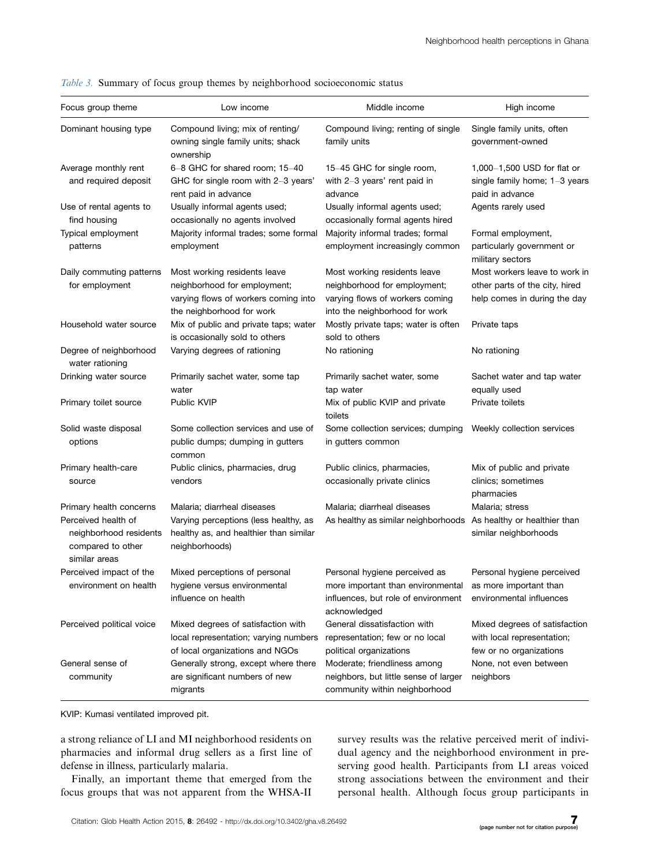| Focus group theme                                                                                              | Low income                                                                                                                        | Middle income                                                                                                                     | High income                                                                                     |
|----------------------------------------------------------------------------------------------------------------|-----------------------------------------------------------------------------------------------------------------------------------|-----------------------------------------------------------------------------------------------------------------------------------|-------------------------------------------------------------------------------------------------|
| Dominant housing type                                                                                          | Compound living; mix of renting/<br>owning single family units; shack<br>ownership                                                | Compound living; renting of single<br>family units                                                                                | Single family units, often<br>government-owned                                                  |
| Average monthly rent<br>and required deposit                                                                   | 6-8 GHC for shared room; 15-40<br>GHC for single room with 2-3 years'<br>rent paid in advance                                     | 15-45 GHC for single room,<br>with 2-3 years' rent paid in<br>advance                                                             | 1,000-1,500 USD for flat or<br>single family home; 1-3 years<br>paid in advance                 |
| Use of rental agents to<br>find housing                                                                        | Usually informal agents used;<br>occasionally no agents involved                                                                  | Usually informal agents used;<br>occasionally formal agents hired                                                                 | Agents rarely used                                                                              |
| Typical employment<br>patterns                                                                                 | Majority informal trades; some formal<br>employment                                                                               | Majority informal trades; formal<br>employment increasingly common                                                                | Formal employment,<br>particularly government or<br>military sectors                            |
| Daily commuting patterns<br>for employment                                                                     | Most working residents leave<br>neighborhood for employment;<br>varying flows of workers coming into<br>the neighborhood for work | Most working residents leave<br>neighborhood for employment;<br>varying flows of workers coming<br>into the neighborhood for work | Most workers leave to work in<br>other parts of the city, hired<br>help comes in during the day |
| Household water source                                                                                         | Mix of public and private taps; water<br>is occasionally sold to others                                                           | Mostly private taps; water is often<br>sold to others                                                                             | Private taps                                                                                    |
| Degree of neighborhood<br>water rationing                                                                      | Varying degrees of rationing                                                                                                      | No rationing                                                                                                                      | No rationing                                                                                    |
| Drinking water source                                                                                          | Primarily sachet water, some tap<br>water                                                                                         | Primarily sachet water, some<br>tap water                                                                                         | Sachet water and tap water<br>equally used                                                      |
| Primary toilet source                                                                                          | <b>Public KVIP</b>                                                                                                                | Mix of public KVIP and private<br>toilets                                                                                         | Private toilets                                                                                 |
| Solid waste disposal<br>options                                                                                | Some collection services and use of<br>public dumps; dumping in gutters<br>common                                                 | Some collection services; dumping<br>in gutters common                                                                            | Weekly collection services                                                                      |
| Primary health-care<br>source                                                                                  | Public clinics, pharmacies, drug<br>vendors                                                                                       | Public clinics, pharmacies,<br>occasionally private clinics                                                                       | Mix of public and private<br>clinics; sometimes<br>pharmacies                                   |
| Primary health concerns<br>Perceived health of<br>neighborhood residents<br>compared to other<br>similar areas | Malaria; diarrheal diseases<br>Varying perceptions (less healthy, as<br>healthy as, and healthier than similar<br>neighborhoods)  | Malaria; diarrheal diseases<br>As healthy as similar neighborhoods                                                                | Malaria; stress<br>As healthy or healthier than<br>similar neighborhoods                        |
| Perceived impact of the<br>environment on health                                                               | Mixed perceptions of personal<br>hygiene versus environmental<br>influence on health                                              | Personal hygiene perceived as<br>more important than environmental<br>influences, but role of environment<br>acknowledged         | Personal hygiene perceived<br>as more important than<br>environmental influences                |
| Perceived political voice                                                                                      | Mixed degrees of satisfaction with<br>local representation; varying numbers                                                       | General dissatisfaction with<br>representation; few or no local                                                                   | Mixed degrees of satisfaction<br>with local representation;                                     |
| General sense of<br>community                                                                                  | of local organizations and NGOs<br>Generally strong, except where there<br>are significant numbers of new<br>migrants             | political organizations<br>Moderate; friendliness among<br>neighbors, but little sense of larger<br>community within neighborhood | few or no organizations<br>None, not even between<br>neighbors                                  |

Table 3. Summary of focus group themes by neighborhood socioeconomic status

KVIP: Kumasi ventilated improved pit.

a strong reliance of LI and MI neighborhood residents on pharmacies and informal drug sellers as a first line of defense in illness, particularly malaria.

Finally, an important theme that emerged from the focus groups that was not apparent from the WHSA-II survey results was the relative perceived merit of individual agency and the neighborhood environment in preserving good health. Participants from LI areas voiced strong associations between the environment and their personal health. Although focus group participants in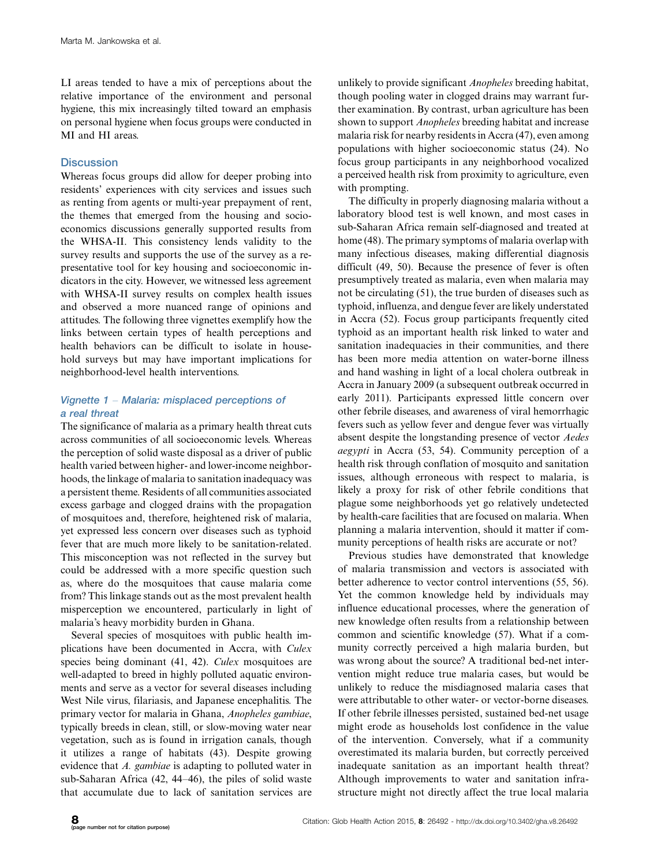LI areas tended to have a mix of perceptions about the relative importance of the environment and personal hygiene, this mix increasingly tilted toward an emphasis on personal hygiene when focus groups were conducted in MI and HI areas.

#### **Discussion**

Whereas focus groups did allow for deeper probing into residents' experiences with city services and issues such as renting from agents or multi-year prepayment of rent, the themes that emerged from the housing and socioeconomics discussions generally supported results from the WHSA-II. This consistency lends validity to the survey results and supports the use of the survey as a representative tool for key housing and socioeconomic indicators in the city. However, we witnessed less agreement with WHSA-II survey results on complex health issues and observed a more nuanced range of opinions and attitudes. The following three vignettes exemplify how the links between certain types of health perceptions and health behaviors can be difficult to isolate in household surveys but may have important implications for neighborhood-level health interventions.

# Vignette 1 - Malaria: misplaced perceptions of a real threat

The significance of malaria as a primary health threat cuts across communities of all socioeconomic levels. Whereas the perception of solid waste disposal as a driver of public health varied between higher- and lower-income neighborhoods, the linkage of malaria to sanitation inadequacy was a persistent theme. Residents of all communities associated excess garbage and clogged drains with the propagation of mosquitoes and, therefore, heightened risk of malaria, yet expressed less concern over diseases such as typhoid fever that are much more likely to be sanitation-related. This misconception was not reflected in the survey but could be addressed with a more specific question such as, where do the mosquitoes that cause malaria come from? This linkage stands out as the most prevalent health misperception we encountered, particularly in light of malaria's heavy morbidity burden in Ghana.

Several species of mosquitoes with public health implications have been documented in Accra, with Culex species being dominant (41, 42). Culex mosquitoes are well-adapted to breed in highly polluted aquatic environments and serve as a vector for several diseases including West Nile virus, filariasis, and Japanese encephalitis. The primary vector for malaria in Ghana, Anopheles gambiae, typically breeds in clean, still, or slow-moving water near vegetation, such as is found in irrigation canals, though it utilizes a range of habitats (43). Despite growing evidence that A. gambiae is adapting to polluted water in sub-Saharan Africa (42, 44-46), the piles of solid waste that accumulate due to lack of sanitation services are

unlikely to provide significant Anopheles breeding habitat, though pooling water in clogged drains may warrant further examination. By contrast, urban agriculture has been shown to support *Anopheles* breeding habitat and increase malaria risk for nearby residents in Accra (47), even among populations with higher socioeconomic status (24). No focus group participants in any neighborhood vocalized a perceived health risk from proximity to agriculture, even with prompting.

The difficulty in properly diagnosing malaria without a laboratory blood test is well known, and most cases in sub-Saharan Africa remain self-diagnosed and treated at home (48). The primary symptoms of malaria overlap with many infectious diseases, making differential diagnosis difficult (49, 50). Because the presence of fever is often presumptively treated as malaria, even when malaria may not be circulating (51), the true burden of diseases such as typhoid, influenza, and dengue fever are likely understated in Accra (52). Focus group participants frequently cited typhoid as an important health risk linked to water and sanitation inadequacies in their communities, and there has been more media attention on water-borne illness and hand washing in light of a local cholera outbreak in Accra in January 2009 (a subsequent outbreak occurred in early 2011). Participants expressed little concern over other febrile diseases, and awareness of viral hemorrhagic fevers such as yellow fever and dengue fever was virtually absent despite the longstanding presence of vector Aedes aegypti in Accra (53, 54). Community perception of a health risk through conflation of mosquito and sanitation issues, although erroneous with respect to malaria, is likely a proxy for risk of other febrile conditions that plague some neighborhoods yet go relatively undetected by health-care facilities that are focused on malaria. When planning a malaria intervention, should it matter if community perceptions of health risks are accurate or not?

Previous studies have demonstrated that knowledge of malaria transmission and vectors is associated with better adherence to vector control interventions (55, 56). Yet the common knowledge held by individuals may influence educational processes, where the generation of new knowledge often results from a relationship between common and scientific knowledge (57). What if a community correctly perceived a high malaria burden, but was wrong about the source? A traditional bed-net intervention might reduce true malaria cases, but would be unlikely to reduce the misdiagnosed malaria cases that were attributable to other water- or vector-borne diseases. If other febrile illnesses persisted, sustained bed-net usage might erode as households lost confidence in the value of the intervention. Conversely, what if a community overestimated its malaria burden, but correctly perceived inadequate sanitation as an important health threat? Although improvements to water and sanitation infrastructure might not directly affect the true local malaria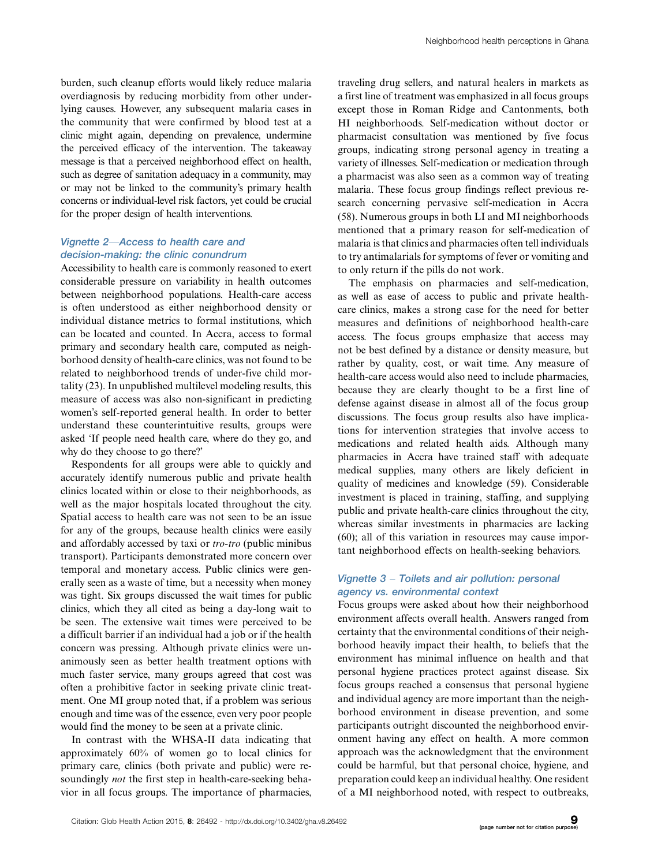burden, such cleanup efforts would likely reduce malaria overdiagnosis by reducing morbidity from other underlying causes. However, any subsequent malaria cases in the community that were confirmed by blood test at a clinic might again, depending on prevalence, undermine the perceived efficacy of the intervention. The takeaway message is that a perceived neighborhood effect on health, such as degree of sanitation adequacy in a community, may or may not be linked to the community's primary health concerns or individual-level risk factors, yet could be crucial for the proper design of health interventions.

#### Vignette 2-Access to health care and decision-making: the clinic conundrum

Accessibility to health care is commonly reasoned to exert considerable pressure on variability in health outcomes between neighborhood populations. Health-care access is often understood as either neighborhood density or individual distance metrics to formal institutions, which can be located and counted. In Accra, access to formal primary and secondary health care, computed as neighborhood density of health-care clinics, was not found to be related to neighborhood trends of under-five child mortality (23). In unpublished multilevel modeling results, this measure of access was also non-significant in predicting women's self-reported general health. In order to better understand these counterintuitive results, groups were asked 'If people need health care, where do they go, and why do they choose to go there?'

Respondents for all groups were able to quickly and accurately identify numerous public and private health clinics located within or close to their neighborhoods, as well as the major hospitals located throughout the city. Spatial access to health care was not seen to be an issue for any of the groups, because health clinics were easily and affordably accessed by taxi or tro-tro (public minibus transport). Participants demonstrated more concern over temporal and monetary access. Public clinics were generally seen as a waste of time, but a necessity when money was tight. Six groups discussed the wait times for public clinics, which they all cited as being a day-long wait to be seen. The extensive wait times were perceived to be a difficult barrier if an individual had a job or if the health concern was pressing. Although private clinics were unanimously seen as better health treatment options with much faster service, many groups agreed that cost was often a prohibitive factor in seeking private clinic treatment. One MI group noted that, if a problem was serious enough and time was of the essence, even very poor people would find the money to be seen at a private clinic.

In contrast with the WHSA-II data indicating that approximately 60% of women go to local clinics for primary care, clinics (both private and public) were resoundingly *not* the first step in health-care-seeking behavior in all focus groups. The importance of pharmacies,

traveling drug sellers, and natural healers in markets as a first line of treatment was emphasized in all focus groups except those in Roman Ridge and Cantonments, both HI neighborhoods. Self-medication without doctor or pharmacist consultation was mentioned by five focus groups, indicating strong personal agency in treating a variety of illnesses. Self-medication or medication through a pharmacist was also seen as a common way of treating malaria. These focus group findings reflect previous research concerning pervasive self-medication in Accra (58). Numerous groups in both LI and MI neighborhoods mentioned that a primary reason for self-medication of malaria is that clinics and pharmacies often tell individuals to try antimalarials for symptoms of fever or vomiting and to only return if the pills do not work.

The emphasis on pharmacies and self-medication, as well as ease of access to public and private healthcare clinics, makes a strong case for the need for better measures and definitions of neighborhood health-care access. The focus groups emphasize that access may not be best defined by a distance or density measure, but rather by quality, cost, or wait time. Any measure of health-care access would also need to include pharmacies, because they are clearly thought to be a first line of defense against disease in almost all of the focus group discussions. The focus group results also have implications for intervention strategies that involve access to medications and related health aids. Although many pharmacies in Accra have trained staff with adequate medical supplies, many others are likely deficient in quality of medicines and knowledge (59). Considerable investment is placed in training, staffing, and supplying public and private health-care clinics throughout the city, whereas similar investments in pharmacies are lacking (60); all of this variation in resources may cause important neighborhood effects on health-seeking behaviors.

#### Vignette 3 - Toilets and air pollution: personal agency vs. environmental context

Focus groups were asked about how their neighborhood environment affects overall health. Answers ranged from certainty that the environmental conditions of their neighborhood heavily impact their health, to beliefs that the environment has minimal influence on health and that personal hygiene practices protect against disease. Six focus groups reached a consensus that personal hygiene and individual agency are more important than the neighborhood environment in disease prevention, and some participants outright discounted the neighborhood environment having any effect on health. A more common approach was the acknowledgment that the environment could be harmful, but that personal choice, hygiene, and preparation could keep an individual healthy. One resident of a MI neighborhood noted, with respect to outbreaks,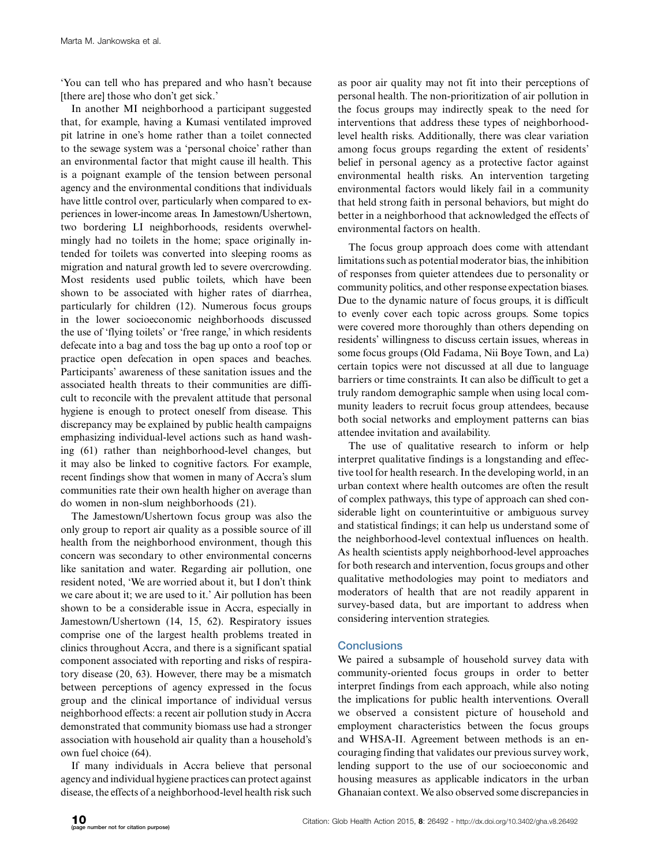'You can tell who has prepared and who hasn't because [there are] those who don't get sick.'

In another MI neighborhood a participant suggested that, for example, having a Kumasi ventilated improved pit latrine in one's home rather than a toilet connected to the sewage system was a 'personal choice' rather than an environmental factor that might cause ill health. This is a poignant example of the tension between personal agency and the environmental conditions that individuals have little control over, particularly when compared to experiences in lower-income areas. In Jamestown/Ushertown, two bordering LI neighborhoods, residents overwhelmingly had no toilets in the home; space originally intended for toilets was converted into sleeping rooms as migration and natural growth led to severe overcrowding. Most residents used public toilets, which have been shown to be associated with higher rates of diarrhea, particularly for children (12). Numerous focus groups in the lower socioeconomic neighborhoods discussed the use of 'flying toilets' or 'free range,' in which residents defecate into a bag and toss the bag up onto a roof top or practice open defecation in open spaces and beaches. Participants' awareness of these sanitation issues and the associated health threats to their communities are difficult to reconcile with the prevalent attitude that personal hygiene is enough to protect oneself from disease. This discrepancy may be explained by public health campaigns emphasizing individual-level actions such as hand washing (61) rather than neighborhood-level changes, but it may also be linked to cognitive factors. For example, recent findings show that women in many of Accra's slum communities rate their own health higher on average than do women in non-slum neighborhoods (21).

The Jamestown/Ushertown focus group was also the only group to report air quality as a possible source of ill health from the neighborhood environment, though this concern was secondary to other environmental concerns like sanitation and water. Regarding air pollution, one resident noted, 'We are worried about it, but I don't think we care about it; we are used to it.' Air pollution has been shown to be a considerable issue in Accra, especially in Jamestown/Ushertown (14, 15, 62). Respiratory issues comprise one of the largest health problems treated in clinics throughout Accra, and there is a significant spatial component associated with reporting and risks of respiratory disease (20, 63). However, there may be a mismatch between perceptions of agency expressed in the focus group and the clinical importance of individual versus neighborhood effects: a recent air pollution study in Accra demonstrated that community biomass use had a stronger association with household air quality than a household's own fuel choice (64).

If many individuals in Accra believe that personal agency and individual hygiene practices can protect against disease, the effects of a neighborhood-level health risk such

as poor air quality may not fit into their perceptions of personal health. The non-prioritization of air pollution in the focus groups may indirectly speak to the need for interventions that address these types of neighborhoodlevel health risks. Additionally, there was clear variation among focus groups regarding the extent of residents' belief in personal agency as a protective factor against environmental health risks. An intervention targeting environmental factors would likely fail in a community that held strong faith in personal behaviors, but might do better in a neighborhood that acknowledged the effects of environmental factors on health.

The focus group approach does come with attendant limitations such as potential moderator bias, the inhibition of responses from quieter attendees due to personality or community politics, and other response expectation biases. Due to the dynamic nature of focus groups, it is difficult to evenly cover each topic across groups. Some topics were covered more thoroughly than others depending on residents' willingness to discuss certain issues, whereas in some focus groups (Old Fadama, Nii Boye Town, and La) certain topics were not discussed at all due to language barriers or time constraints. It can also be difficult to get a truly random demographic sample when using local community leaders to recruit focus group attendees, because both social networks and employment patterns can bias attendee invitation and availability.

The use of qualitative research to inform or help interpret qualitative findings is a longstanding and effective tool for health research. In the developing world, in an urban context where health outcomes are often the result of complex pathways, this type of approach can shed considerable light on counterintuitive or ambiguous survey and statistical findings; it can help us understand some of the neighborhood-level contextual influences on health. As health scientists apply neighborhood-level approaches for both research and intervention, focus groups and other qualitative methodologies may point to mediators and moderators of health that are not readily apparent in survey-based data, but are important to address when considering intervention strategies.

# **Conclusions**

We paired a subsample of household survey data with community-oriented focus groups in order to better interpret findings from each approach, while also noting the implications for public health interventions. Overall we observed a consistent picture of household and employment characteristics between the focus groups and WHSA-II. Agreement between methods is an encouraging finding that validates our previous survey work, lending support to the use of our socioeconomic and housing measures as applicable indicators in the urban Ghanaian context. We also observed some discrepancies in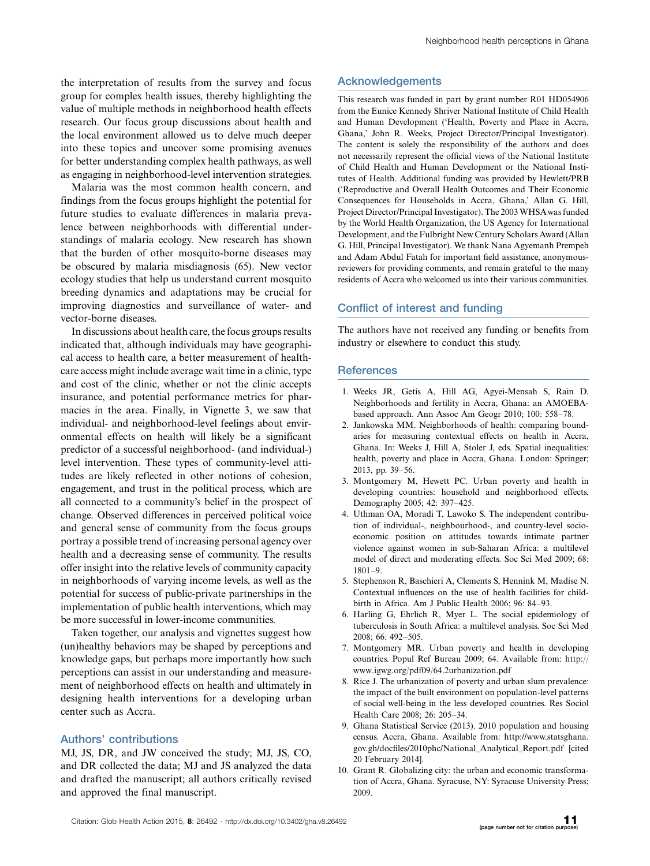the interpretation of results from the survey and focus group for complex health issues, thereby highlighting the value of multiple methods in neighborhood health effects research. Our focus group discussions about health and the local environment allowed us to delve much deeper into these topics and uncover some promising avenues for better understanding complex health pathways, as well as engaging in neighborhood-level intervention strategies.

Malaria was the most common health concern, and findings from the focus groups highlight the potential for future studies to evaluate differences in malaria prevalence between neighborhoods with differential understandings of malaria ecology. New research has shown that the burden of other mosquito-borne diseases may be obscured by malaria misdiagnosis (65). New vector ecology studies that help us understand current mosquito breeding dynamics and adaptations may be crucial for improving diagnostics and surveillance of water- and vector-borne diseases.

In discussions about health care, the focus groups results indicated that, although individuals may have geographical access to health care, a better measurement of healthcare access might include average wait time in a clinic, type and cost of the clinic, whether or not the clinic accepts insurance, and potential performance metrics for pharmacies in the area. Finally, in Vignette 3, we saw that individual- and neighborhood-level feelings about environmental effects on health will likely be a significant predictor of a successful neighborhood- (and individual-) level intervention. These types of community-level attitudes are likely reflected in other notions of cohesion, engagement, and trust in the political process, which are all connected to a community's belief in the prospect of change. Observed differences in perceived political voice and general sense of community from the focus groups portray a possible trend of increasing personal agency over health and a decreasing sense of community. The results offer insight into the relative levels of community capacity in neighborhoods of varying income levels, as well as the potential for success of public-private partnerships in the implementation of public health interventions, which may be more successful in lower-income communities.

Taken together, our analysis and vignettes suggest how (un)healthy behaviors may be shaped by perceptions and knowledge gaps, but perhaps more importantly how such perceptions can assist in our understanding and measurement of neighborhood effects on health and ultimately in designing health interventions for a developing urban center such as Accra.

#### Authors' contributions

MJ, JS, DR, and JW conceived the study; MJ, JS, CO, and DR collected the data; MJ and JS analyzed the data and drafted the manuscript; all authors critically revised and approved the final manuscript.

# **Acknowledgements**

This research was funded in part by grant number R01 HD054906 from the Eunice Kennedy Shriver National Institute of Child Health and Human Development ('Health, Poverty and Place in Accra, Ghana,' John R. Weeks, Project Director/Principal Investigator). The content is solely the responsibility of the authors and does not necessarily represent the official views of the National Institute of Child Health and Human Development or the National Institutes of Health. Additional funding was provided by Hewlett/PRB ('Reproductive and Overall Health Outcomes and Their Economic Consequences for Households in Accra, Ghana,' Allan G. Hill, Project Director/Principal Investigator). The 2003 WHSAwas funded by the World Health Organization, the US Agency for International Development, and the Fulbright New Century Scholars Award (Allan G. Hill, Principal Investigator). We thank Nana Agyemanh Prempeh and Adam Abdul Fatah for important field assistance, anonymousreviewers for providing comments, and remain grateful to the many residents of Accra who welcomed us into their various communities.

#### Conflict of interest and funding

The authors have not received any funding or benefits from industry or elsewhere to conduct this study.

#### **References**

- 1. Weeks JR, Getis A, Hill AG, Agyei-Mensah S, Rain D. Neighborhoods and fertility in Accra, Ghana: an AMOEBAbased approach. Ann Assoc Am Geogr 2010; 100: 558-78.
- 2. Jankowska MM. Neighborhoods of health: comparing boundaries for measuring contextual effects on health in Accra, Ghana. In: Weeks J, Hill A, Stoler J, eds. Spatial inequalities: health, poverty and place in Accra, Ghana. London: Springer; 2013, pp. 39-56.
- 3. Montgomery M, Hewett PC. Urban poverty and health in developing countries: household and neighborhood effects. Demography 2005; 42: 397-425.
- 4. Uthman OA, Moradi T, Lawoko S. The independent contribution of individual-, neighbourhood-, and country-level socioeconomic position on attitudes towards intimate partner violence against women in sub-Saharan Africa: a multilevel model of direct and moderating effects. Soc Sci Med 2009; 68: 1801-9.
- 5. Stephenson R, Baschieri A, Clements S, Hennink M, Madise N. Contextual influences on the use of health facilities for childbirth in Africa. Am J Public Health 2006; 96: 84-93.
- 6. Harling G, Ehrlich R, Myer L. The social epidemiology of tuberculosis in South Africa: a multilevel analysis. Soc Sci Med 2008; 66: 492-505.
- 7. Montgomery MR. Urban poverty and health in developing countries. Popul Ref Bureau 2009; 64. Available from: [http://](http://www.igwg.org/pdf09/64.2urbanization.pdf) [www.igwg.org/pdf09/64.2urbanization.pdf](http://www.igwg.org/pdf09/64.2urbanization.pdf)
- 8. Rice J. The urbanization of poverty and urban slum prevalence: the impact of the built environment on population-level patterns of social well-being in the less developed countries. Res Sociol Health Care 2008; 26: 205-34.
- 9. Ghana Statistical Service (2013). 2010 population and housing census. Accra, Ghana. Available from: [http://www.statsghana.](http://www.statsghana.gov.gh/docfiles/2010phc/National_Analytical_Report.pdf) [gov.gh/docfiles/2010phc/National\\_Analytical\\_Report.pdf](http://www.statsghana.gov.gh/docfiles/2010phc/National_Analytical_Report.pdf) [cited 20 February 2014].
- 10. Grant R. Globalizing city: the urban and economic transformation of Accra, Ghana. Syracuse, NY: Syracuse University Press; 2009.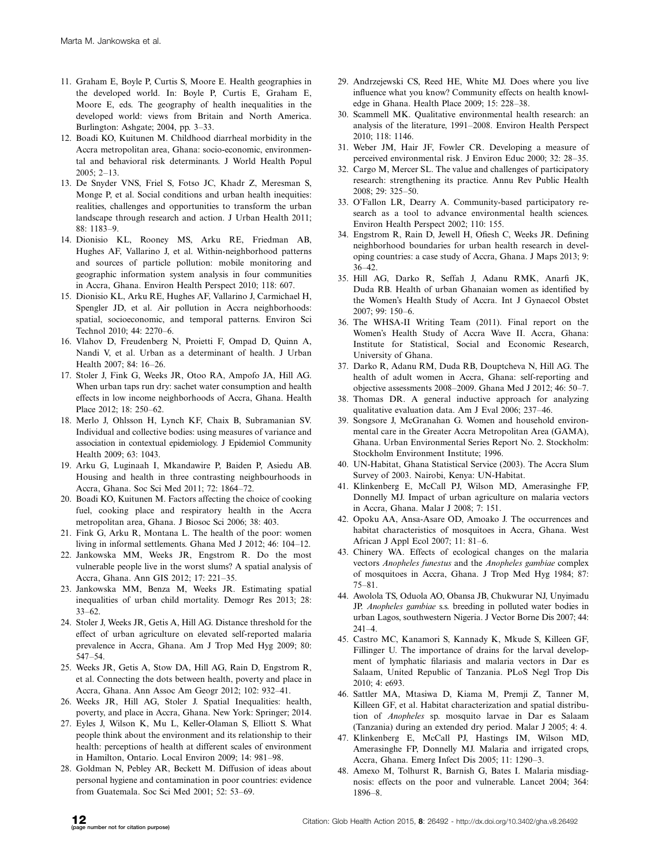- 11. Graham E, Boyle P, Curtis S, Moore E. Health geographies in the developed world. In: Boyle P, Curtis E, Graham E, Moore E, eds. The geography of health inequalities in the developed world: views from Britain and North America. Burlington: Ashgate; 2004, pp. 3-33.
- 12. Boadi KO, Kuitunen M. Childhood diarrheal morbidity in the Accra metropolitan area, Ghana: socio-economic, environmental and behavioral risk determinants. J World Health Popul 2005; 2-13.
- 13. De Snyder VNS, Friel S, Fotso JC, Khadr Z, Meresman S, Monge P, et al. Social conditions and urban health inequities: realities, challenges and opportunities to transform the urban landscape through research and action. J Urban Health 2011; 88: 1183-9.
- 14. Dionisio KL, Rooney MS, Arku RE, Friedman AB, Hughes AF, Vallarino J, et al. Within-neighborhood patterns and sources of particle pollution: mobile monitoring and geographic information system analysis in four communities in Accra, Ghana. Environ Health Perspect 2010; 118: 607.
- 15. Dionisio KL, Arku RE, Hughes AF, Vallarino J, Carmichael H, Spengler JD, et al. Air pollution in Accra neighborhoods: spatial, socioeconomic, and temporal patterns. Environ Sci Technol 2010; 44: 2270-6.
- 16. Vlahov D, Freudenberg N, Proietti F, Ompad D, Quinn A, Nandi V, et al. Urban as a determinant of health. J Urban Health 2007; 84: 16-26.
- 17. Stoler J, Fink G, Weeks JR, Otoo RA, Ampofo JA, Hill AG. When urban taps run dry: sachet water consumption and health effects in low income neighborhoods of Accra, Ghana. Health Place 2012; 18: 250-62.
- 18. Merlo J, Ohlsson H, Lynch KF, Chaix B, Subramanian SV. Individual and collective bodies: using measures of variance and association in contextual epidemiology. J Epidemiol Community Health 2009; 63: 1043.
- 19. Arku G, Luginaah I, Mkandawire P, Baiden P, Asiedu AB. Housing and health in three contrasting neighbourhoods in Accra, Ghana. Soc Sci Med 2011; 72: 1864-72.
- 20. Boadi KO, Kuitunen M. Factors affecting the choice of cooking fuel, cooking place and respiratory health in the Accra metropolitan area, Ghana. J Biosoc Sci 2006; 38: 403.
- 21. Fink G, Arku R, Montana L. The health of the poor: women living in informal settlements. Ghana Med J 2012; 46: 104-12.
- 22. Jankowska MM, Weeks JR, Engstrom R. Do the most vulnerable people live in the worst slums? A spatial analysis of Accra, Ghana. Ann GIS 2012; 17: 221-35.
- 23. Jankowska MM, Benza M, Weeks JR. Estimating spatial inequalities of urban child mortality. Demogr Res 2013; 28: 33-62.
- 24. Stoler J, Weeks JR, Getis A, Hill AG. Distance threshold for the effect of urban agriculture on elevated self-reported malaria prevalence in Accra, Ghana. Am J Trop Med Hyg 2009; 80: 547-54.
- 25. Weeks JR, Getis A, Stow DA, Hill AG, Rain D, Engstrom R, et al. Connecting the dots between health, poverty and place in Accra, Ghana. Ann Assoc Am Geogr 2012; 102: 932-41.
- 26. Weeks JR, Hill AG, Stoler J. Spatial Inequalities: health, poverty, and place in Accra, Ghana. New York: Springer; 2014.
- 27. Eyles J, Wilson K, Mu L, Keller-Olaman S, Elliott S. What people think about the environment and its relationship to their health: perceptions of health at different scales of environment in Hamilton, Ontario. Local Environ 2009; 14: 981-98.
- 28. Goldman N, Pebley AR, Beckett M. Diffusion of ideas about personal hygiene and contamination in poor countries: evidence from Guatemala. Soc Sci Med 2001; 52: 53-69.
- 29. Andrzejewski CS, Reed HE, White MJ. Does where you live influence what you know? Community effects on health knowledge in Ghana. Health Place 2009; 15: 228-38.
- 30. Scammell MK. Qualitative environmental health research: an analysis of the literature, 1991-2008. Environ Health Perspect 2010; 118: 1146.
- 31. Weber JM, Hair JF, Fowler CR. Developing a measure of perceived environmental risk. J Environ Educ 2000; 32: 28-35.
- 32. Cargo M, Mercer SL. The value and challenges of participatory research: strengthening its practice. Annu Rev Public Health 2008; 29: 325-50.
- 33. O'Fallon LR, Dearry A. Community-based participatory research as a tool to advance environmental health sciences. Environ Health Perspect 2002; 110: 155.
- 34. Engstrom R, Rain D, Jewell H, Ofiesh C, Weeks JR. Defining neighborhood boundaries for urban health research in developing countries: a case study of Accra, Ghana. J Maps 2013; 9: 36-42.
- 35. Hill AG, Darko R, Seffah J, Adanu RMK, Anarfi JK, Duda RB. Health of urban Ghanaian women as identified by the Women's Health Study of Accra. Int J Gynaecol Obstet 2007; 99: 150-6.
- 36. The WHSA-II Writing Team (2011). Final report on the Women's Health Study of Accra Wave II. Accra, Ghana: Institute for Statistical, Social and Economic Research, University of Ghana.
- 37. Darko R, Adanu RM, Duda RB, Douptcheva N, Hill AG. The health of adult women in Accra, Ghana: self-reporting and objective assessments 2008-2009. Ghana Med J 2012; 46: 50-7.
- 38. Thomas DR. A general inductive approach for analyzing qualitative evaluation data. Am J Eval 2006; 237-46.
- 39. Songsore J, McGranahan G. Women and household environmental care in the Greater Accra Metropolitan Area (GAMA), Ghana. Urban Environmental Series Report No. 2. Stockholm: Stockholm Environment Institute; 1996.
- 40. UN-Habitat, Ghana Statistical Service (2003). The Accra Slum Survey of 2003. Nairobi, Kenya: UN-Habitat.
- 41. Klinkenberg E, McCall PJ, Wilson MD, Amerasinghe FP, Donnelly MJ. Impact of urban agriculture on malaria vectors in Accra, Ghana. Malar J 2008; 7: 151.
- 42. Opoku AA, Ansa-Asare OD, Amoako J. The occurrences and habitat characteristics of mosquitoes in Accra, Ghana. West African J Appl Ecol 2007; 11: 81-6.
- 43. Chinery WA. Effects of ecological changes on the malaria vectors Anopheles funestus and the Anopheles gambiae complex of mosquitoes in Accra, Ghana. J Trop Med Hyg 1984; 87: 75-81.
- 44. Awolola TS, Oduola AO, Obansa JB, Chukwurar NJ, Unyimadu JP. Anopheles gambiae s.s. breeding in polluted water bodies in urban Lagos, southwestern Nigeria. J Vector Borne Dis 2007; 44: 241-4.
- 45. Castro MC, Kanamori S, Kannady K, Mkude S, Killeen GF, Fillinger U. The importance of drains for the larval development of lymphatic filariasis and malaria vectors in Dar es Salaam, United Republic of Tanzania. PLoS Negl Trop Dis 2010; 4: e693.
- 46. Sattler MA, Mtasiwa D, Kiama M, Premji Z, Tanner M, Killeen GF, et al. Habitat characterization and spatial distribution of Anopheles sp. mosquito larvae in Dar es Salaam (Tanzania) during an extended dry period. Malar J 2005; 4: 4.
- 47. Klinkenberg E, McCall PJ, Hastings IM, Wilson MD, Amerasinghe FP, Donnelly MJ. Malaria and irrigated crops, Accra, Ghana. Emerg Infect Dis 2005; 11: 1290-3.
- 48. Amexo M, Tolhurst R, Barnish G, Bates I. Malaria misdiagnosis: effects on the poor and vulnerable. Lancet 2004; 364: 1896-8.